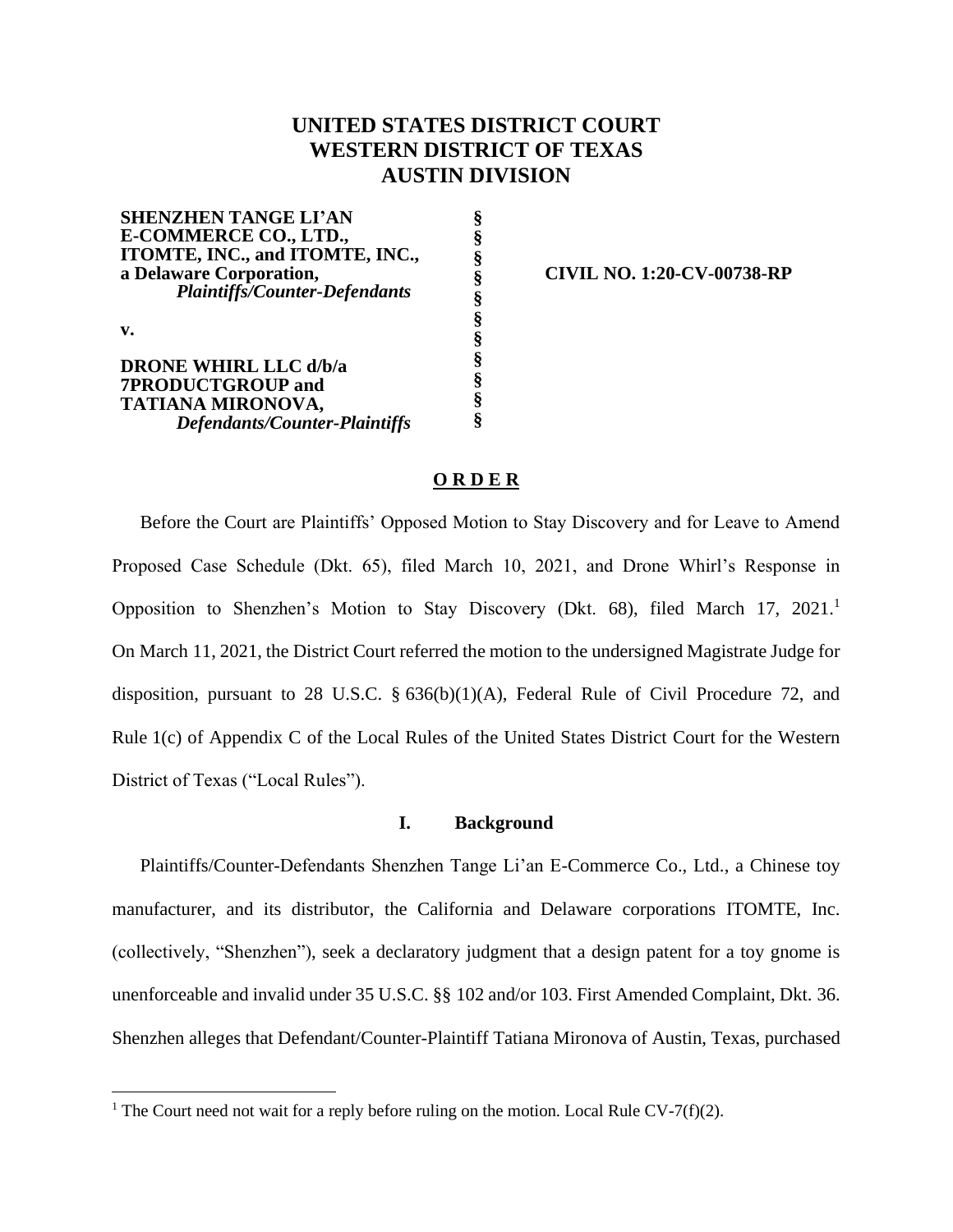# **UNITED STATES DISTRICT COURT WESTERN DISTRICT OF TEXAS AUSTIN DIVISION**

**SHENZHEN TANGE LI'AN E-COMMERCE CO., LTD., ITOMTE, INC., and ITOMTE, INC., a Delaware Corporation,** *Plaintiffs/Counter-Defendants* **v. DRONE WHIRL LLC d/b/a 7PRODUCTGROUP and TATIANA MIRONOVA,** *Defendants/Counter-Plaintiffs* **§ § § § § § § § § § §**

**CIVIL NO. 1:20-CV-00738-RP**

## **O R D E R**

Before the Court are Plaintiffs' Opposed Motion to Stay Discovery and for Leave to Amend Proposed Case Schedule (Dkt. 65), filed March 10, 2021, and Drone Whirl's Response in Opposition to Shenzhen's Motion to Stay Discovery (Dkt. 68), filed March 17, 2021. On March 11, 2021, the District Court referred the motion to the undersigned Magistrate Judge for disposition, pursuant to 28 U.S.C. § 636(b)(1)(A), Federal Rule of Civil Procedure 72, and Rule 1(c) of Appendix C of the Local Rules of the United States District Court for the Western District of Texas ("Local Rules").

## **I. Background**

Plaintiffs/Counter-Defendants Shenzhen Tange Li'an E-Commerce Co., Ltd., a Chinese toy manufacturer, and its distributor, the California and Delaware corporations ITOMTE, Inc. (collectively, "Shenzhen"), seek a declaratory judgment that a design patent for a toy gnome is unenforceable and invalid under 35 U.S.C. §§ 102 and/or 103. First Amended Complaint, Dkt. 36. Shenzhen alleges that Defendant/Counter-Plaintiff Tatiana Mironova of Austin, Texas, purchased

<sup>&</sup>lt;sup>1</sup> The Court need not wait for a reply before ruling on the motion. Local Rule CV-7(f)(2).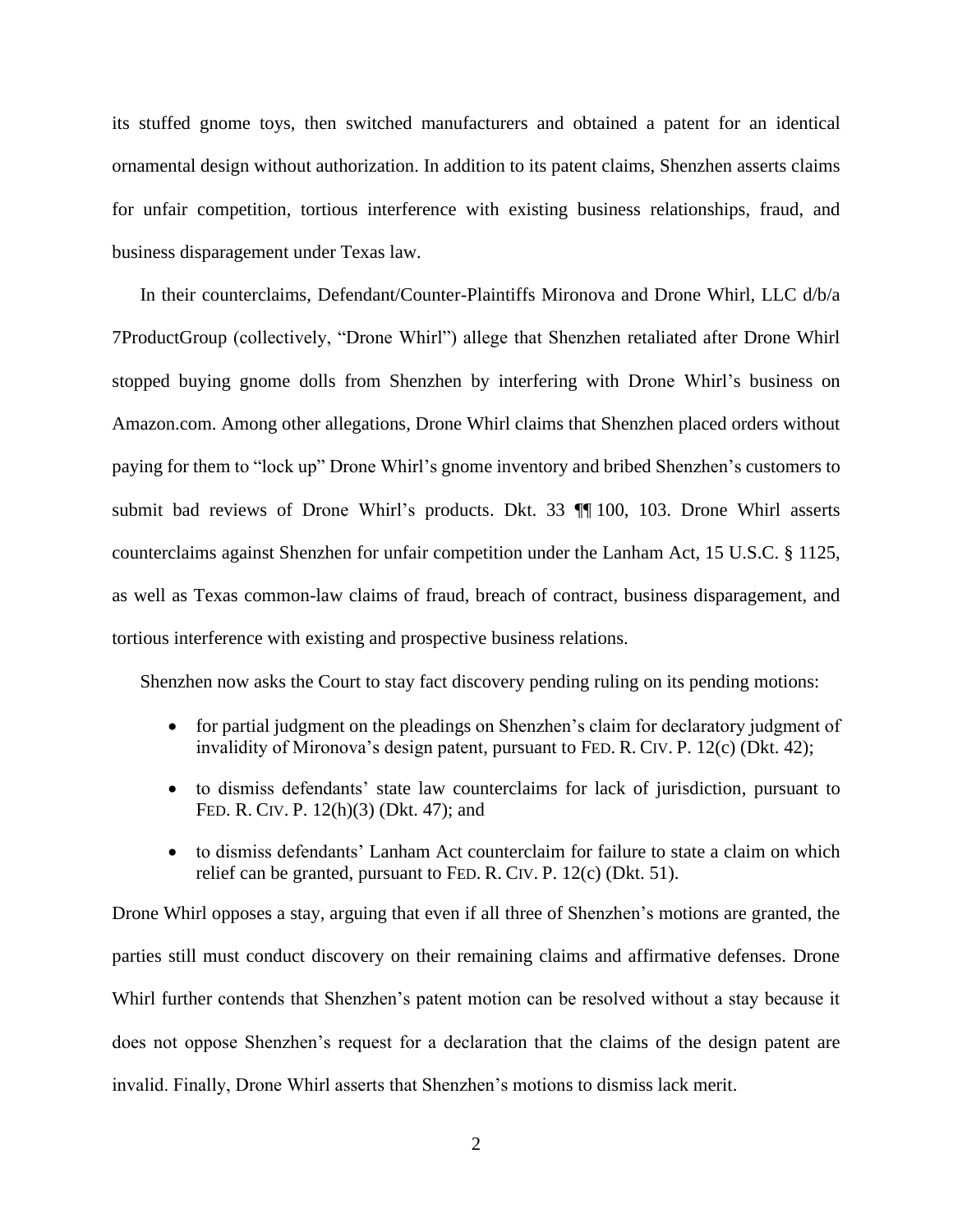its stuffed gnome toys, then switched manufacturers and obtained a patent for an identical ornamental design without authorization. In addition to its patent claims, Shenzhen asserts claims for unfair competition, tortious interference with existing business relationships, fraud, and business disparagement under Texas law.

In their counterclaims, Defendant/Counter-Plaintiffs Mironova and Drone Whirl, LLC d/b/a 7ProductGroup (collectively, "Drone Whirl") allege that Shenzhen retaliated after Drone Whirl stopped buying gnome dolls from Shenzhen by interfering with Drone Whirl's business on Amazon.com. Among other allegations, Drone Whirl claims that Shenzhen placed orders without paying for them to "lock up" Drone Whirl's gnome inventory and bribed Shenzhen's customers to submit bad reviews of Drone Whirl's products. Dkt. 33 ¶¶ 100, 103. Drone Whirl asserts counterclaims against Shenzhen for unfair competition under the Lanham Act, 15 U.S.C. § 1125, as well as Texas common-law claims of fraud, breach of contract, business disparagement, and tortious interference with existing and prospective business relations.

Shenzhen now asks the Court to stay fact discovery pending ruling on its pending motions:

- for partial judgment on the pleadings on Shenzhen's claim for declaratory judgment of invalidity of Mironova's design patent, pursuant to FED. R. CIV. P. 12(c) (Dkt. 42);
- to dismiss defendants' state law counterclaims for lack of jurisdiction, pursuant to FED. R. CIV. P. 12(h)(3) (Dkt. 47); and
- to dismiss defendants' Lanham Act counterclaim for failure to state a claim on which relief can be granted, pursuant to FED. R. CIV. P. 12(c) (Dkt. 51).

Drone Whirl opposes a stay, arguing that even if all three of Shenzhen's motions are granted, the parties still must conduct discovery on their remaining claims and affirmative defenses. Drone Whirl further contends that Shenzhen's patent motion can be resolved without a stay because it does not oppose Shenzhen's request for a declaration that the claims of the design patent are invalid. Finally, Drone Whirl asserts that Shenzhen's motions to dismiss lack merit.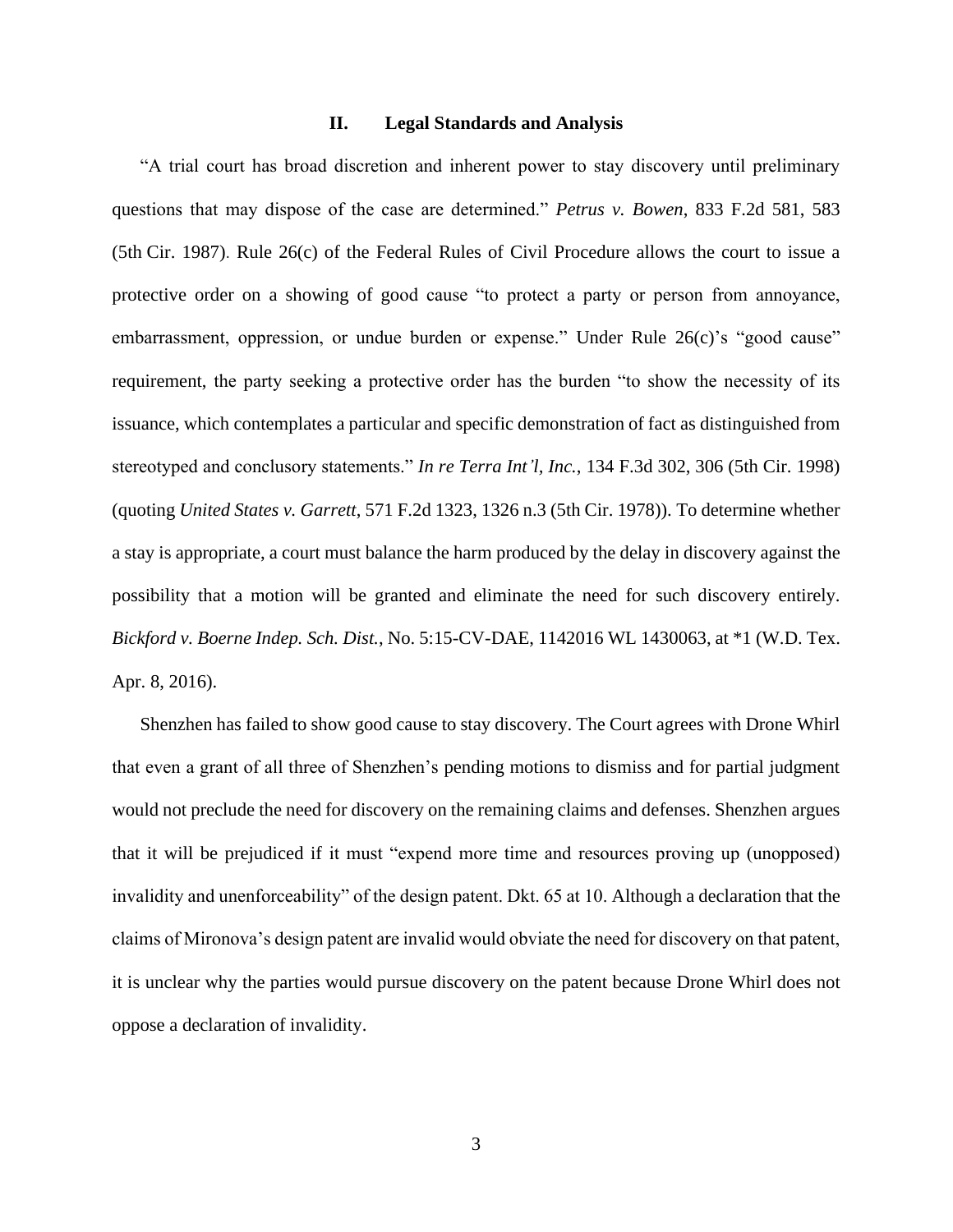### **II. Legal Standards and Analysis**

"A trial court has broad discretion and inherent power to stay discovery until preliminary questions that may dispose of the case are determined." *Petrus v. Bowen*[, 833 F.2d 581, 583](https://1.next.westlaw.com/Link/Document/FullText?findType=Y&serNum=1987145594&pubNum=0000350&originatingDoc=Ic1856e50e38a11e987aed0112aae066d&refType=RP&fi=co_pp_sp_350_583&originationContext=document&transitionType=DocumentItem&contextData=(sc.Keycite)#co_pp_sp_350_583)  (5th [Cir. 1987\)](https://1.next.westlaw.com/Link/Document/FullText?findType=Y&serNum=1987145594&pubNum=0000350&originatingDoc=Ic1856e50e38a11e987aed0112aae066d&refType=RP&fi=co_pp_sp_350_583&originationContext=document&transitionType=DocumentItem&contextData=(sc.Keycite)#co_pp_sp_350_583). Rule 26(c) of the Federal Rules of Civil Procedure allows the court to issue a protective order on a showing of good cause "to protect a party or person from annoyance, embarrassment, oppression, or undue burden or expense." Under Rule 26(c)'s "good cause" requirement, the party seeking a protective order has the burden "to show the necessity of its issuance, which contemplates a particular and specific demonstration of fact as distinguished from stereotyped and conclusory statements." *In re Terra Int'l, Inc.*, 134 F.3d 302, 306 (5th Cir. 1998) (quoting *United States v. Garrett*, 571 F.2d 1323, 1326 n.3 (5th Cir. 1978)). To determine whether a stay is appropriate, a court must balance the harm produced by the delay in discovery against the possibility that a motion will be granted and eliminate the need for such discovery entirely. *Bickford v. Boerne Indep. Sch. Dist.*, No. 5:15-CV-DAE, 1142016 WL 1430063, at \*1 (W.D. Tex. Apr. 8, 2016).

Shenzhen has failed to show good cause to stay discovery. The Court agrees with Drone Whirl that even a grant of all three of Shenzhen's pending motions to dismiss and for partial judgment would not preclude the need for discovery on the remaining claims and defenses. Shenzhen argues that it will be prejudiced if it must "expend more time and resources proving up (unopposed) invalidity and unenforceability" of the design patent. Dkt. 65 at 10. Although a declaration that the claims of Mironova's design patent are invalid would obviate the need for discovery on that patent, it is unclear why the parties would pursue discovery on the patent because Drone Whirl does not oppose a declaration of invalidity.